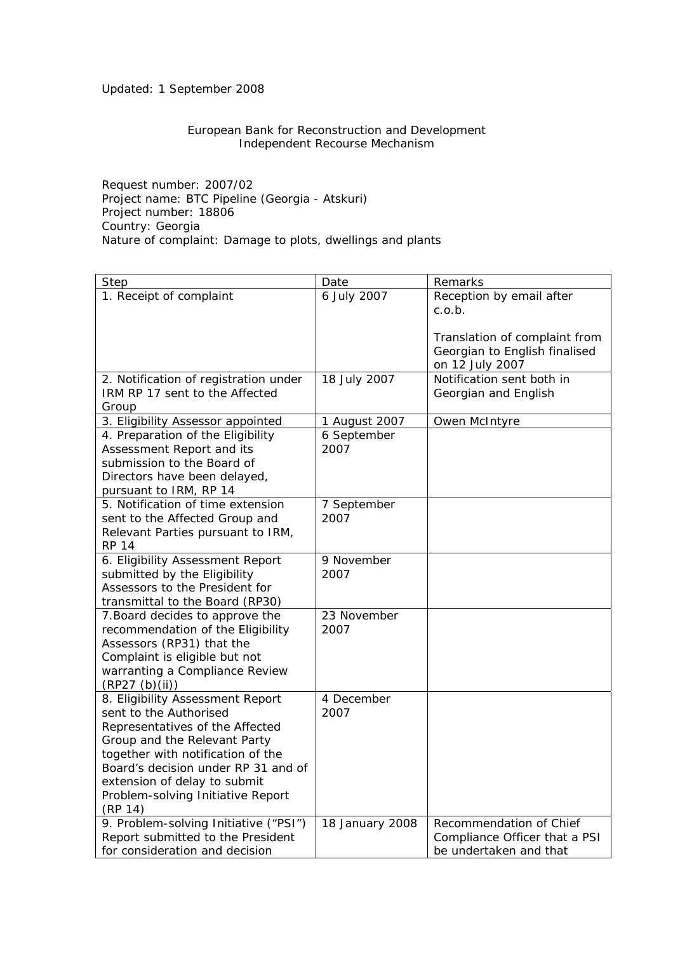## Updated: 1 September 2008

## European Bank for Reconstruction and Development Independent Recourse Mechanism

Request number: 2007/02 Project name: BTC Pipeline (Georgia - Atskuri) Project number: 18806 Country: Georgia Nature of complaint: Damage to plots, dwellings and plants

| Step                                  | Date            | Remarks                       |
|---------------------------------------|-----------------|-------------------------------|
| 1. Receipt of complaint               | 6 July 2007     | Reception by email after      |
|                                       |                 | c.o.b.                        |
|                                       |                 |                               |
|                                       |                 | Translation of complaint from |
|                                       |                 | Georgian to English finalised |
|                                       |                 | on 12 July 2007               |
| 2. Notification of registration under | 18 July 2007    | Notification sent both in     |
| IRM RP 17 sent to the Affected        |                 | Georgian and English          |
| Group                                 |                 |                               |
| 3. Eligibility Assessor appointed     | 1 August 2007   | Owen McIntyre                 |
| 4. Preparation of the Eligibility     | 6 September     |                               |
| Assessment Report and its             | 2007            |                               |
| submission to the Board of            |                 |                               |
| Directors have been delayed,          |                 |                               |
| pursuant to IRM, RP 14                |                 |                               |
| 5. Notification of time extension     | 7 September     |                               |
| sent to the Affected Group and        | 2007            |                               |
| Relevant Parties pursuant to IRM,     |                 |                               |
| <b>RP 14</b>                          |                 |                               |
| 6. Eligibility Assessment Report      | 9 November      |                               |
| submitted by the Eligibility          | 2007            |                               |
| Assessors to the President for        |                 |                               |
| transmittal to the Board (RP30)       |                 |                               |
| 7. Board decides to approve the       | 23 November     |                               |
| recommendation of the Eligibility     | 2007            |                               |
| Assessors (RP31) that the             |                 |                               |
| Complaint is eligible but not         |                 |                               |
| warranting a Compliance Review        |                 |                               |
| (RP27 (b)(ii))                        |                 |                               |
| 8. Eligibility Assessment Report      | 4 December      |                               |
| sent to the Authorised                | 2007            |                               |
| Representatives of the Affected       |                 |                               |
| Group and the Relevant Party          |                 |                               |
| together with notification of the     |                 |                               |
| Board's decision under RP 31 and of   |                 |                               |
| extension of delay to submit          |                 |                               |
| Problem-solving Initiative Report     |                 |                               |
| (RP 14)                               |                 |                               |
| 9. Problem-solving Initiative ("PSI") | 18 January 2008 | Recommendation of Chief       |
| Report submitted to the President     |                 | Compliance Officer that a PSI |
| for consideration and decision        |                 | be undertaken and that        |